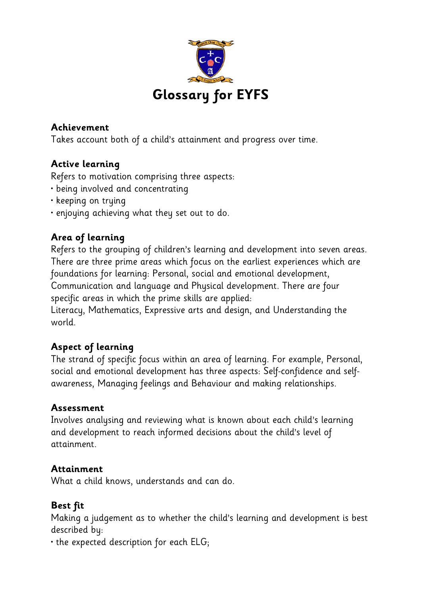

## **Achievement**

Takes account both of a child's attainment and progress over time.

# **Active learning**

Refers to motivation comprising three aspects:

- being involved and concentrating
- keeping on trying
- enjoying achieving what they set out to do.

# **Area of learning**

Refers to the grouping of children's learning and development into seven areas. There are three prime areas which focus on the earliest experiences which are foundations for learning: Personal, social and emotional development, Communication and language and Physical development. There are four specific areas in which the prime skills are applied:

Literacy, Mathematics, Expressive arts and design, and Understanding the world.

# **Aspect of learning**

The strand of specific focus within an area of learning. For example, Personal, social and emotional development has three aspects: Self-confidence and selfawareness, Managing feelings and Behaviour and making relationships.

# **Assessment**

Involves analysing and reviewing what is known about each child's learning and development to reach informed decisions about the child's level of attainment.

# **Attainment**

What a child knows, understands and can do.

# **Best fit**

Making a judgement as to whether the child's learning and development is best described by:

 $\cdot$  the expected description for each ELG;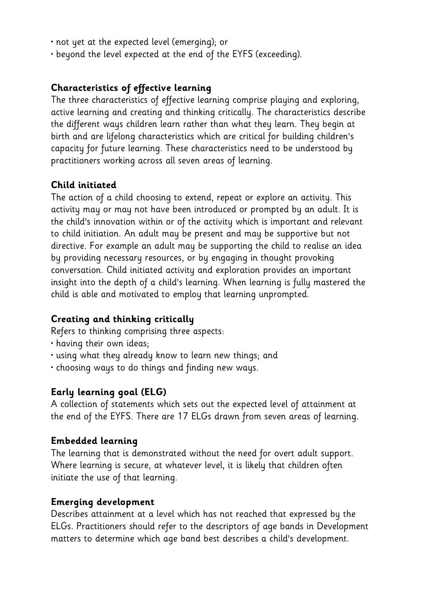- not yet at the expected level (emerging); or
- beyond the level expected at the end of the EYFS (exceeding).

#### **Characteristics of effective learning**

The three characteristics of effective learning comprise playing and exploring, active learning and creating and thinking critically. The characteristics describe the different ways children learn rather than what they learn. They begin at birth and are lifelong characteristics which are critical for building children's capacity for future learning. These characteristics need to be understood by practitioners working across all seven areas of learning.

#### **Child initiated**

The action of a child choosing to extend, repeat or explore an activity. This activity may or may not have been introduced or prompted by an adult. It is the child's innovation within or of the activity which is important and relevant to child initiation. An adult may be present and may be supportive but not directive. For example an adult may be supporting the child to realise an idea by providing necessary resources, or by engaging in thought provoking conversation. Child initiated activity and exploration provides an important insight into the depth of a child's learning. When learning is fully mastered the child is able and motivated to employ that learning unprompted.

### **Creating and thinking critically**

Refers to thinking comprising three aspects:

- having their own ideas;
- using what they already know to learn new things; and
- choosing ways to do things and finding new ways.

#### **Early learning goal (ELG)**

A collection of statements which sets out the expected level of attainment at the end of the EYFS. There are 17 ELGs drawn from seven areas of learning.

#### **Embedded learning**

The learning that is demonstrated without the need for overt adult support. Where learning is secure, at whatever level, it is likely that children often initiate the use of that learning.

#### **Emerging development**

Describes attainment at a level which has not reached that expressed by the ELGs. Practitioners should refer to the descriptors of age bands in Development matters to determine which age band best describes a child's development.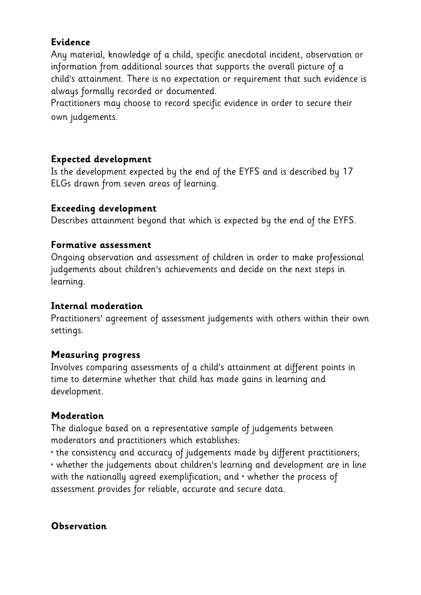# **Evidence**

Any material, knowledge of a child, specific anecdotal incident, observation or information from additional sources that supports the overall picture of a child's attainment. There is no expectation or requirement that such evidence is always formally recorded or documented.

Practitioners may choose to record specific evidence in order to secure their own judgements.

# **Expected development**

Is the development expected by the end of the EYFS and is described by 17 ELGs drawn from seven areas of learning.

# **Exceeding development**

Describes attainment beyond that which is expected by the end of the EYFS.

## **Formative assessment**

Ongoing observation and assessment of children in order to make professional judgements about children's achievements and decide on the next steps in learning.

# **Internal moderation**

Practitioners' agreement of assessment judgements with others within their own settings.

# **Measuring progress**

Involves comparing assessments of a child's attainment at different points in time to determine whether that child has made gains in learning and development.

# **Moderation**

The dialogue based on a representative sample of judgements between moderators and practitioners which establishes:

• the consistency and accuracy of judgements made by different practitioners; • whether the judgements about children's learning and development are in line with the nationally agreed exemplification; and  $\cdot$  whether the process of assessment provides for reliable, accurate and secure data.

### **Observation**